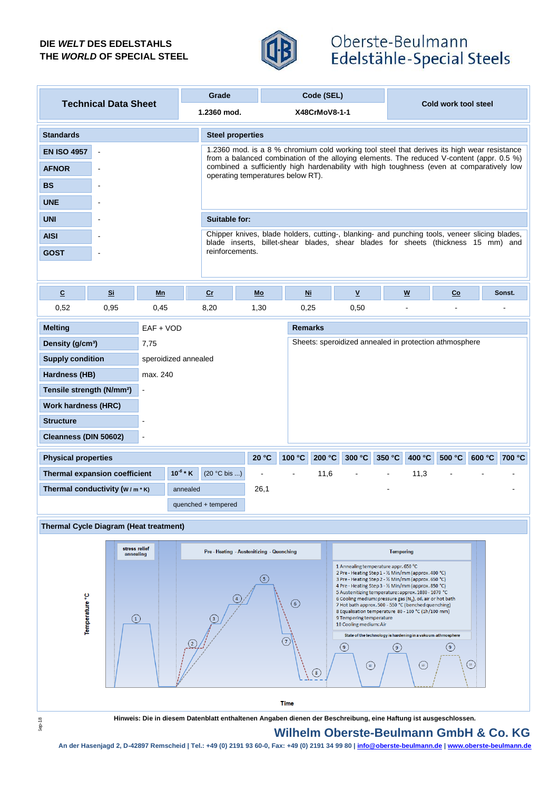#### **DIE** *WELT* **DES EDELSTAHLS THE** *WORLD* **OF SPECIAL STEEL**



## Oberste-Beulmann Edelstähle-Special Steels

| <b>Technical Data Sheet</b> |       |                         | Grade           |                                   | Code (SEL)                                                                                                                                                                               |      |                          |                      |        |  |
|-----------------------------|-------|-------------------------|-----------------|-----------------------------------|------------------------------------------------------------------------------------------------------------------------------------------------------------------------------------------|------|--------------------------|----------------------|--------|--|
|                             |       |                         | 1.2360 mod.     |                                   | X48CrMoV8-1-1                                                                                                                                                                            |      |                          | Cold work tool steel |        |  |
| <b>Standards</b>            |       | <b>Steel properties</b> |                 |                                   |                                                                                                                                                                                          |      |                          |                      |        |  |
| <b>EN ISO 4957</b>          |       |                         |                 |                                   | 1.2360 mod. is a 8 % chromium cold working tool steel that derives its high wear resistance<br>from a balanced combination of the alloying elements. The reduced V-content (appr. 0.5 %) |      |                          |                      |        |  |
| <b>AFNOR</b>                |       |                         |                 | operating temperatures below RT). | combined a sufficiently high hardenability with high toughness (even at comparatively low                                                                                                |      |                          |                      |        |  |
| <b>BS</b>                   |       |                         |                 |                                   |                                                                                                                                                                                          |      |                          |                      |        |  |
| <b>UNE</b>                  |       |                         |                 |                                   |                                                                                                                                                                                          |      |                          |                      |        |  |
| <b>UNI</b>                  |       |                         | Suitable for:   |                                   |                                                                                                                                                                                          |      |                          |                      |        |  |
| <b>AISI</b>                 |       |                         |                 |                                   | Chipper knives, blade holders, cutting-, blanking- and punching tools, veneer slicing blades,<br>blade inserts, billet-shear blades, shear blades for sheets (thickness 15 mm) and       |      |                          |                      |        |  |
| <b>GOST</b>                 |       |                         | reinforcements. |                                   |                                                                                                                                                                                          |      |                          |                      |        |  |
|                             |       |                         |                 |                                   |                                                                                                                                                                                          |      |                          |                      |        |  |
| $\overline{c}$              | $S_i$ | Mn                      | $c$             | Mo                                | Ni                                                                                                                                                                                       | ۷    | $\underline{\mathsf{w}}$ | Co                   | Sonst. |  |
| 0,52                        | 0,95  | 0,45                    | 8,20            | 1,30                              | 0,25                                                                                                                                                                                     | 0,50 |                          |                      |        |  |

| <b>Melting</b>                                 | $EAF + VOD$          |  |                     |                |        | <b>Remarks</b>                                         |                |                |        |        |        |        |
|------------------------------------------------|----------------------|--|---------------------|----------------|--------|--------------------------------------------------------|----------------|----------------|--------|--------|--------|--------|
| Density (g/cm <sup>3</sup> )                   | 7,75                 |  |                     |                |        | Sheets: speroidized annealed in protection athmosphere |                |                |        |        |        |        |
| <b>Supply condition</b>                        | speroidized annealed |  |                     |                |        |                                                        |                |                |        |        |        |        |
| Hardness (HB)                                  | max. 240             |  |                     |                |        |                                                        |                |                |        |        |        |        |
| Tensile strength (N/mm <sup>2</sup> )          | $\blacksquare$       |  |                     |                |        |                                                        |                |                |        |        |        |        |
| <b>Work hardness (HRC)</b>                     |                      |  |                     |                |        |                                                        |                |                |        |        |        |        |
| <b>Structure</b>                               | -                    |  |                     |                |        |                                                        |                |                |        |        |        |        |
| Cleanness (DIN 50602)                          | $\blacksquare$       |  |                     |                |        |                                                        |                |                |        |        |        |        |
| <b>Physical properties</b>                     |                      |  |                     | 20 °C          | 100 °C | 200 °C                                                 | 300 °C         | 350 °C         | 400 °C | 500 °C | 600 °C | 700 °C |
| $10^{-6}$ * K<br>Thermal expansion coefficient |                      |  | $(20 °C$ bis )      | $\blacksquare$ |        | 11,6                                                   | $\blacksquare$ | $\blacksquare$ | 11,3   |        |        |        |
| Thermal conductivity $(w/m * K)$<br>annealed   |                      |  |                     | 26,1           |        |                                                        |                |                |        |        |        |        |
|                                                |                      |  | quenched + tempered |                |        |                                                        |                |                |        |        |        |        |

#### **Thermal Cycle Diagram (Heat treatment)**



**Hinweis: Die in diesem Datenblatt enthaltenen Angaben dienen der Beschreibung, eine Haftung ist ausgeschlossen.**

### **Wilhelm Oberste-Beulmann GmbH & Co. KG**

**An der Hasenjagd 2, D-42897 Remscheid | Tel.: +49 (0) 2191 93 60-0, Fax: +49 (0) 2191 34 99 80 | info@oberste-beulmann.de | www.oberste-beulmann.de**